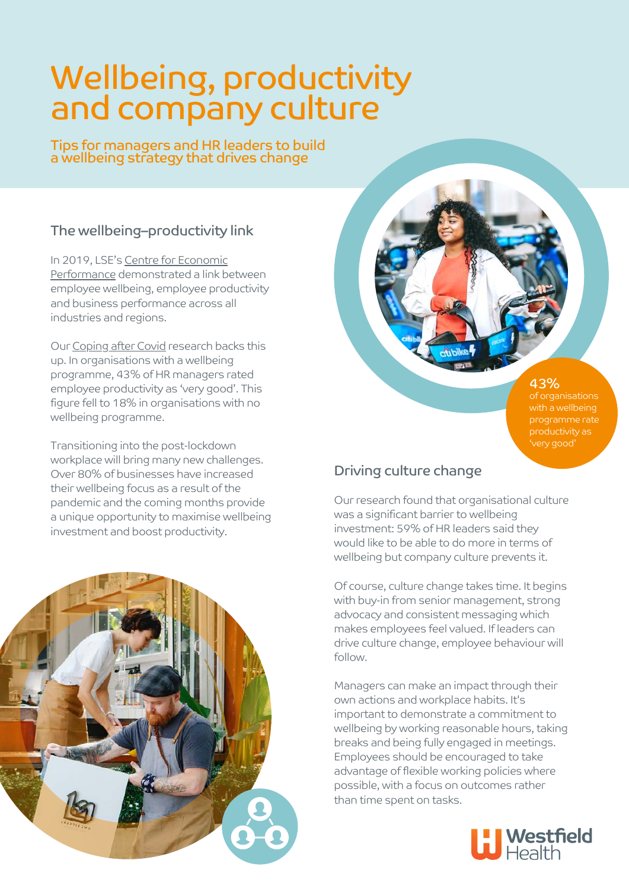# Wellbeing, productivity and company culture

Tips for managers and HR leaders to build a wellbeing strategy that drives change

# The wellbeing–productivity link

[In 2019, LSE's Centre for Economic](https://cep.lse.ac.uk/pubs/download/dp1605.pdf) Performance demonstrated a link between employee wellbeing, employee productivity and business performance across all industries and regions.

Our [Coping after Covid](https://www.westfieldhealth.com/resources/coping-after-covid) research backs this up. In organisations with a wellbeing programme, 43% of HR managers rated employee productivity as 'very good'. This figure fell to 18% in organisations with no wellbeing programme.

Transitioning into the post-lockdown workplace will bring many new challenges. Over 80% of businesses have increased their wellbeing focus as a result of the pandemic and the coming months provide a unique opportunity to maximise wellbeing investment and boost productivity.



43% of organisations programme rate productivity as

'very good'

## Driving culture change

Our research found that organisational culture was a significant barrier to wellbeing investment: 59% of HR leaders said they would like to be able to do more in terms of wellbeing but company culture prevents it.

Of course, culture change takes time. It begins with buy-in from senior management, strong advocacy and consistent messaging which makes employees feel valued. If leaders can drive culture change, employee behaviour will follow.

Managers can make an impact through their own actions and workplace habits. It's important to demonstrate a commitment to wellbeing by working reasonable hours, taking breaks and being fully engaged in meetings. Employees should be encouraged to take advantage of flexible working policies where possible, with a focus on outcomes rather than time spent on tasks.